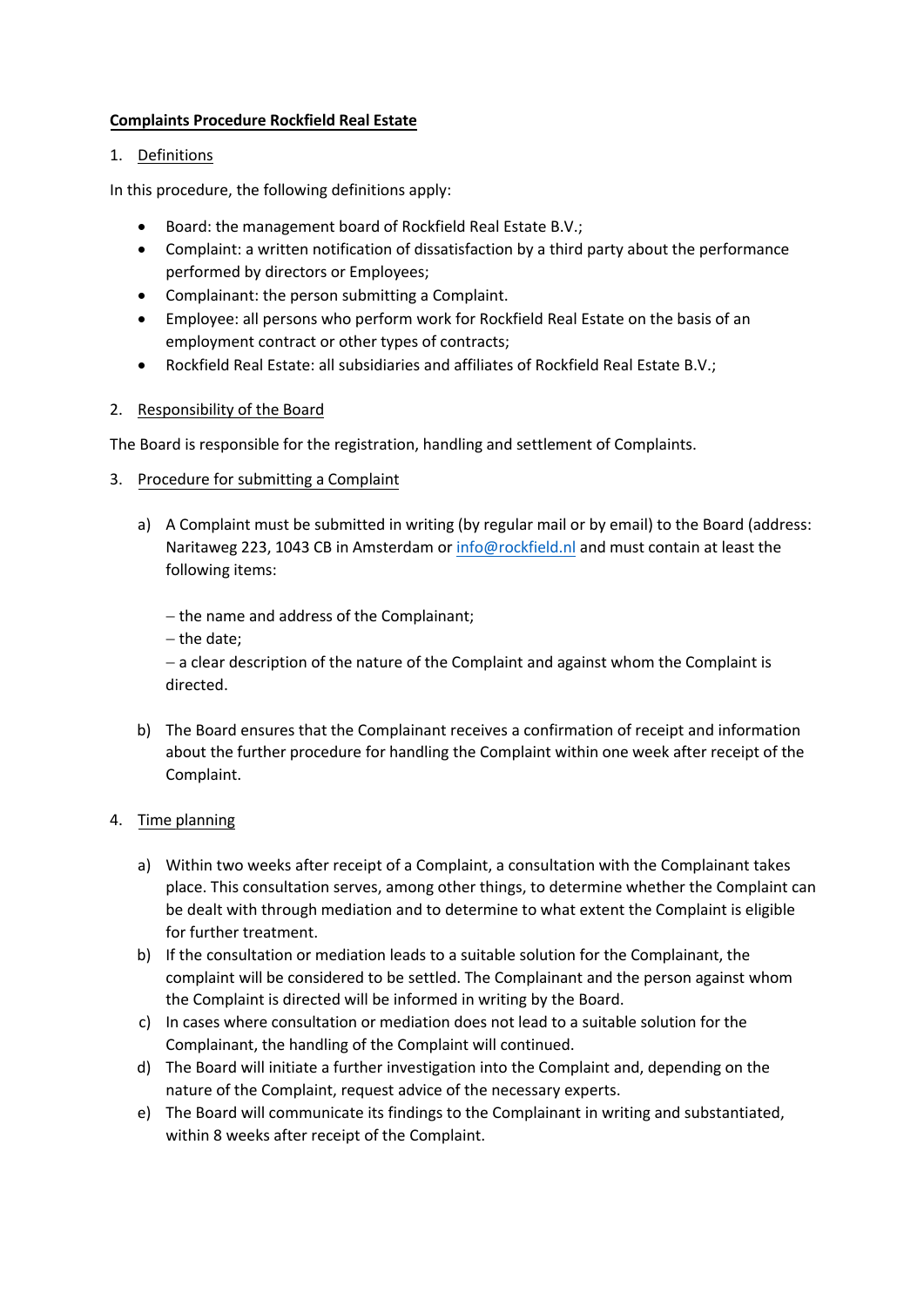## **Complaints Procedure Rockfield Real Estate**

## 1. Definitions

In this procedure, the following definitions apply:

- Board: the management board of Rockfield Real Estate B.V.;
- Complaint: a written notification of dissatisfaction by a third party about the performance performed by directors or Employees;
- Complainant: the person submitting a Complaint.
- Employee: all persons who perform work for Rockfield Real Estate on the basis of an employment contract or other types of contracts;
- Rockfield Real Estate: all subsidiaries and affiliates of Rockfield Real Estate B.V.;

# 2. Responsibility of the Board

The Board is responsible for the registration, handling and settlement of Complaints.

- 3. Procedure for submitting a Complaint
	- a) A Complaint must be submitted in writing (by regular mail or by email) to the Board (address: Naritaweg 223, 1043 CB in Amsterdam or info@[rockfield.nl](mailto:info@ic-netherlands.com) and must contain at least the following items:

− the name and address of the Complainant;

− the date;

− a clear description of the nature of the Complaint and against whom the Complaint is directed.

b) The Board ensures that the Complainant receives a confirmation of receipt and information about the further procedure for handling the Complaint within one week after receipt of the Complaint.

# 4. Time planning

- a) Within two weeks after receipt of a Complaint, a consultation with the Complainant takes place. This consultation serves, among other things, to determine whether the Complaint can be dealt with through mediation and to determine to what extent the Complaint is eligible for further treatment.
- b) If the consultation or mediation leads to a suitable solution for the Complainant, the complaint will be considered to be settled. The Complainant and the person against whom the Complaint is directed will be informed in writing by the Board.
- c) In cases where consultation or mediation does not lead to a suitable solution for the Complainant, the handling of the Complaint will continued.
- d) The Board will initiate a further investigation into the Complaint and, depending on the nature of the Complaint, request advice of the necessary experts.
- e) The Board will communicate its findings to the Complainant in writing and substantiated, within 8 weeks after receipt of the Complaint.